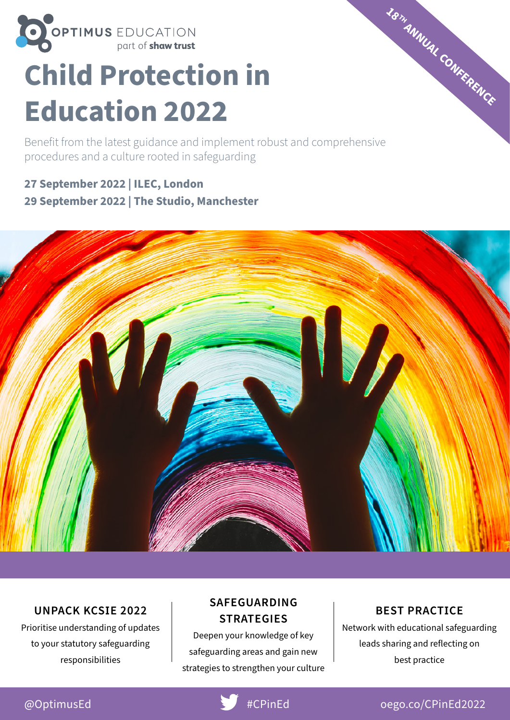

# **Child Protection in Education 202**2

Benefit from the latest guidance and implement robust and comprehensive procedures and a culture rooted in safeguarding

**27 September 2022 | ILEC, London 29 September 2022 | The Studio, Manchester**



#### **UNPACK KCSIE 2022**

Prioritise understanding of updates to your statutory safeguarding responsibilities

#### **SAFEGUARDING STRATEGIES**

Deepen your knowledge of key safeguarding areas and gain new strategies to strengthen your culture

#### **BEST PRACTICE**

**<sup>18</sup>TH ANNUAL CONFERENCE**

Network with educational safeguarding leads sharing and reflecting on best practice



### @OptimusEd #CPinEd [oego.co/CPinEd2022](http://oego.co/CPinEd2022)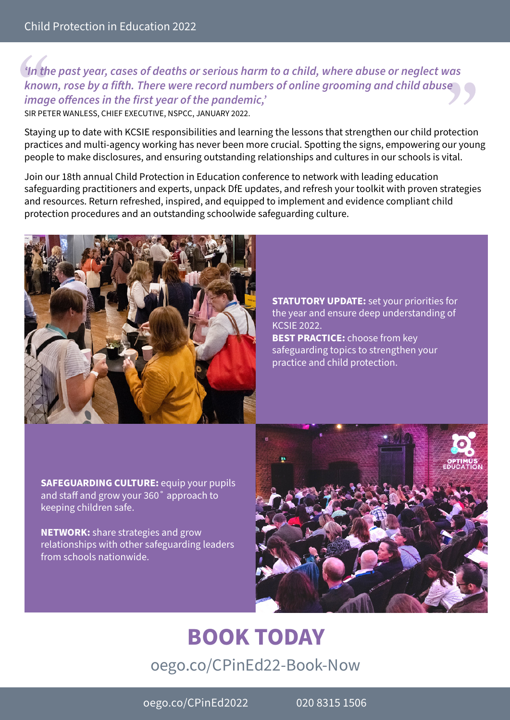#### *'In the past year, cases of deaths or serious harm to a child, where abuse or neglect was known, rose by a fifth. There were record numbers of online grooming and child abuse image offences in the first year of the pandemic,'*

SIR PETER WANLESS, CHIEF EXECUTIVE, NSPCC, JANUARY 2022.

Staying up to date with KCSIE responsibilities and learning the lessons that strengthen our child protection practices and multi-agency working has never been more crucial. Spotting the signs, empowering our young people to make disclosures, and ensuring outstanding relationships and cultures in our schools is vital.

Join our 18th annual Child Protection in Education conference to network with leading education safeguarding practitioners and experts, unpack DfE updates, and refresh your toolkit with proven strategies and resources. Return refreshed, inspired, and equipped to implement and evidence compliant child protection procedures and an outstanding schoolwide safeguarding culture.



**STATUTORY UPDATE:** set your priorities for the year and ensure deep understanding of KCSIE 2022. **BEST PRACTICE:** choose from key

safeguarding topics to strengthen your practice and child protection.

**SAFEGUARDING CULTURE:** equip your pupils and staff and grow your 360˚ approach to keeping children safe.

**NETWORK:** share strategies and grow relationships with other safeguarding leaders from schools nationwide.



# **[BOOK TODAY](http://oego.co/CPinEd22-Book-Now)** [oego.co/CPinEd22-Book-Now](http://oego.co/CPinEd22-Book-Now)

[oego.co/CPinEd2022](http://oego.co/CPinEd2022) 020 8315 1506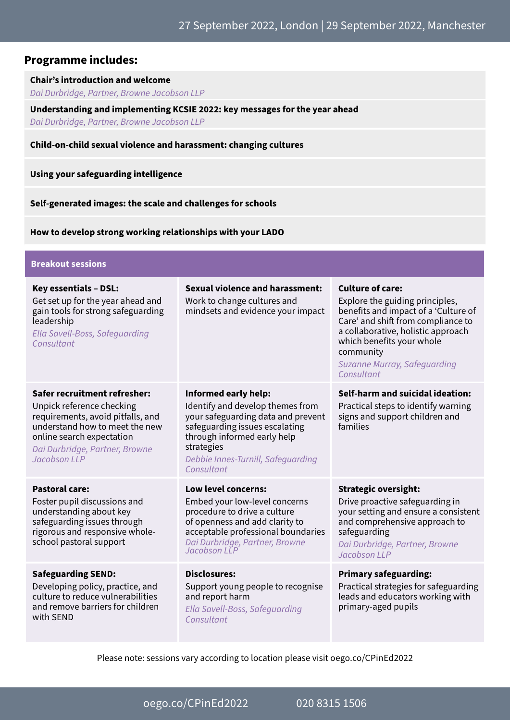#### **Programme includes:**

#### **Chair's introduction and welcome**

*Dai Durbridge, Partner, Browne Jacobson LLP*

**Understanding and implementing KCSIE 2022: key messages for the year ahead** *Dai Durbridge, Partner, Browne Jacobson LLP*

#### **Child-on-child sexual violence and harassment: changing cultures**

**Using your safeguarding intelligence**

**Self-generated images: the scale and challenges for schools**

**How to develop strong working relationships with your LADO**

| <b>Breakout sessions</b>                                                                                                                                                                                        |                                                                                                                                                                                                                                          |                                                                                                                                                                                                                                                                        |  |
|-----------------------------------------------------------------------------------------------------------------------------------------------------------------------------------------------------------------|------------------------------------------------------------------------------------------------------------------------------------------------------------------------------------------------------------------------------------------|------------------------------------------------------------------------------------------------------------------------------------------------------------------------------------------------------------------------------------------------------------------------|--|
| <b>Key essentials - DSL:</b><br>Get set up for the year ahead and<br>gain tools for strong safeguarding<br>leadership<br>Ella Savell-Boss, Safequarding<br>Consultant                                           | <b>Sexual violence and harassment:</b><br>Work to change cultures and<br>mindsets and evidence your impact                                                                                                                               | <b>Culture of care:</b><br>Explore the guiding principles,<br>benefits and impact of a 'Culture of<br>Care' and shift from compliance to<br>a collaborative, holistic approach<br>which benefits your whole<br>community<br>Suzanne Murray, Safeguarding<br>Consultant |  |
| Safer recruitment refresher:<br>Unpick reference checking<br>requirements, avoid pitfalls, and<br>understand how to meet the new<br>online search expectation<br>Dai Durbridge, Partner, Browne<br>Jacobson LLP | <b>Informed early help:</b><br>Identify and develop themes from<br>your safeguarding data and prevent<br>safeguarding issues escalating<br>through informed early help<br>strategies<br>Debbie Innes-Turnill, Safequarding<br>Consultant | Self-harm and suicidal ideation:<br>Practical steps to identify warning<br>signs and support children and<br>families                                                                                                                                                  |  |
| <b>Pastoral care:</b><br>Foster pupil discussions and<br>understanding about key<br>safeguarding issues through<br>rigorous and responsive whole-<br>school pastoral support                                    | Low level concerns:<br>Embed your low-level concerns<br>procedure to drive a culture<br>of openness and add clarity to<br>acceptable professional boundaries<br>Dai Durbridge, Partner, Browne<br>Jacobson LLP                           | <b>Strategic oversight:</b><br>Drive proactive safeguarding in<br>your setting and ensure a consistent<br>and comprehensive approach to<br>safeguarding<br>Dai Durbridge, Partner, Browne<br>Jacobson LLP                                                              |  |
| <b>Safeguarding SEND:</b><br>Developing policy, practice, and<br>culture to reduce vulnerabilities<br>and remove barriers for children<br>with SEND                                                             | <b>Disclosures:</b><br>Support young people to recognise<br>and report harm<br>Ella Savell-Boss, Safeguarding<br>Consultant                                                                                                              | <b>Primary safeguarding:</b><br>Practical strategies for safeguarding<br>leads and educators working with<br>primary-aged pupils                                                                                                                                       |  |

Please note: sessions vary according to location please visit [oego.co/CPinEd2022](http://oego.co/CPinEd2022) 

[oego.co/CPinEd2022](http://oego.co/CPinEd2022) 020 8315 1506